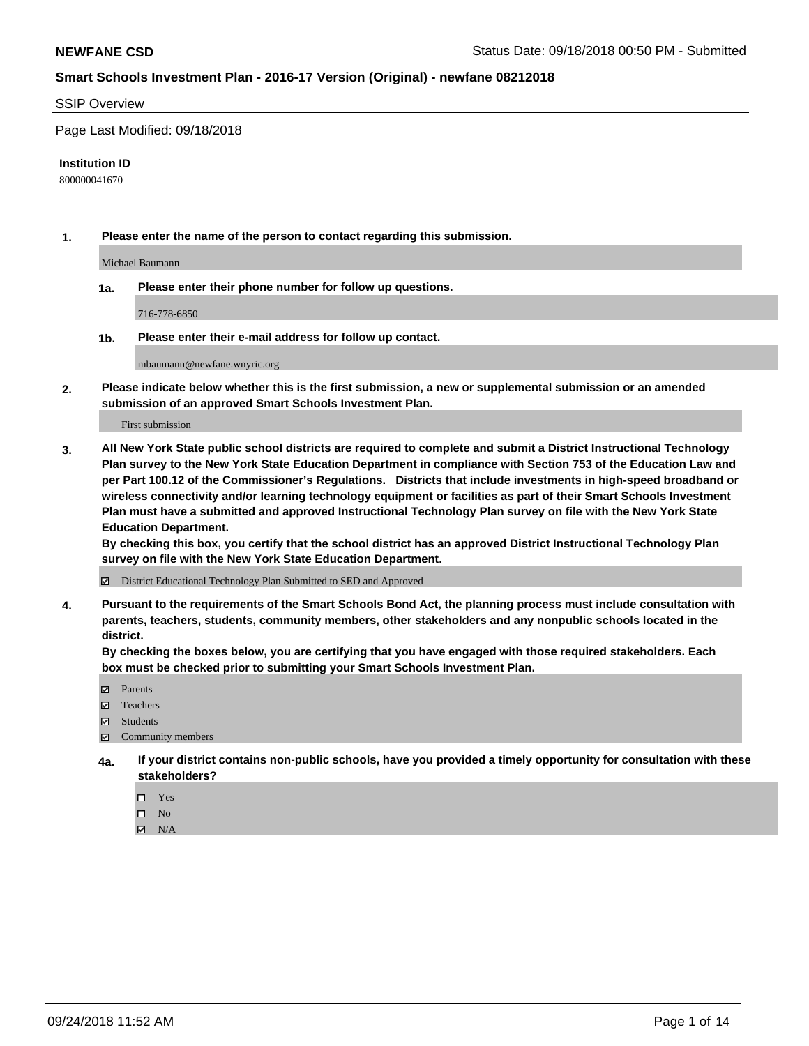#### SSIP Overview

Page Last Modified: 09/18/2018

#### **Institution ID**

800000041670

**1. Please enter the name of the person to contact regarding this submission.**

Michael Baumann

**1a. Please enter their phone number for follow up questions.**

716-778-6850

**1b. Please enter their e-mail address for follow up contact.**

mbaumann@newfane.wnyric.org

**2. Please indicate below whether this is the first submission, a new or supplemental submission or an amended submission of an approved Smart Schools Investment Plan.**

First submission

**3. All New York State public school districts are required to complete and submit a District Instructional Technology Plan survey to the New York State Education Department in compliance with Section 753 of the Education Law and per Part 100.12 of the Commissioner's Regulations. Districts that include investments in high-speed broadband or wireless connectivity and/or learning technology equipment or facilities as part of their Smart Schools Investment Plan must have a submitted and approved Instructional Technology Plan survey on file with the New York State Education Department.** 

**By checking this box, you certify that the school district has an approved District Instructional Technology Plan survey on file with the New York State Education Department.**

District Educational Technology Plan Submitted to SED and Approved

**4. Pursuant to the requirements of the Smart Schools Bond Act, the planning process must include consultation with parents, teachers, students, community members, other stakeholders and any nonpublic schools located in the district.** 

**By checking the boxes below, you are certifying that you have engaged with those required stakeholders. Each box must be checked prior to submitting your Smart Schools Investment Plan.**

- **□** Parents
- Teachers
- Students
- $\boxtimes$  Community members
- **4a. If your district contains non-public schools, have you provided a timely opportunity for consultation with these stakeholders?**
	- $\Box$  Yes
	- $\qquad \qquad$  No
	- $\blacksquare$  N/A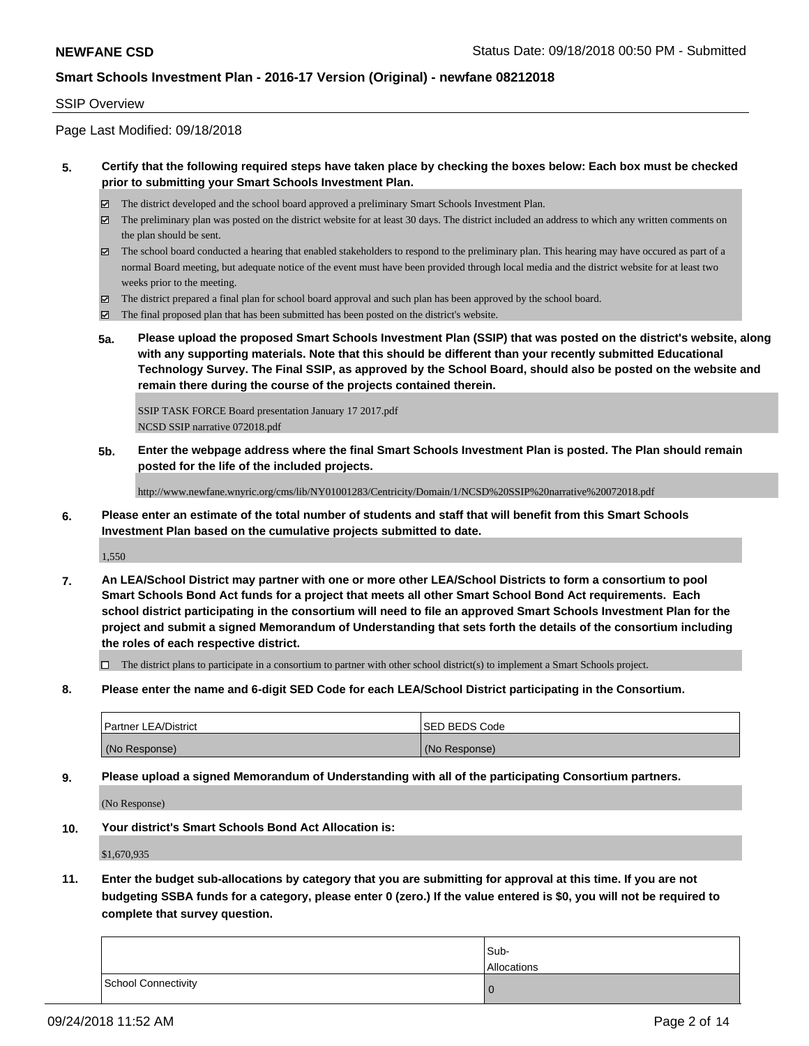#### SSIP Overview

Page Last Modified: 09/18/2018

## **5. Certify that the following required steps have taken place by checking the boxes below: Each box must be checked prior to submitting your Smart Schools Investment Plan.**

- The district developed and the school board approved a preliminary Smart Schools Investment Plan.
- $\boxtimes$  The preliminary plan was posted on the district website for at least 30 days. The district included an address to which any written comments on the plan should be sent.
- $\boxtimes$  The school board conducted a hearing that enabled stakeholders to respond to the preliminary plan. This hearing may have occured as part of a normal Board meeting, but adequate notice of the event must have been provided through local media and the district website for at least two weeks prior to the meeting.
- The district prepared a final plan for school board approval and such plan has been approved by the school board.
- $\boxtimes$  The final proposed plan that has been submitted has been posted on the district's website.
- **5a. Please upload the proposed Smart Schools Investment Plan (SSIP) that was posted on the district's website, along with any supporting materials. Note that this should be different than your recently submitted Educational Technology Survey. The Final SSIP, as approved by the School Board, should also be posted on the website and remain there during the course of the projects contained therein.**

SSIP TASK FORCE Board presentation January 17 2017.pdf NCSD SSIP narrative 072018.pdf

**5b. Enter the webpage address where the final Smart Schools Investment Plan is posted. The Plan should remain posted for the life of the included projects.**

http://www.newfane.wnyric.org/cms/lib/NY01001283/Centricity/Domain/1/NCSD%20SSIP%20narrative%20072018.pdf

**6. Please enter an estimate of the total number of students and staff that will benefit from this Smart Schools Investment Plan based on the cumulative projects submitted to date.**

1,550

**7. An LEA/School District may partner with one or more other LEA/School Districts to form a consortium to pool Smart Schools Bond Act funds for a project that meets all other Smart School Bond Act requirements. Each school district participating in the consortium will need to file an approved Smart Schools Investment Plan for the project and submit a signed Memorandum of Understanding that sets forth the details of the consortium including the roles of each respective district.**

 $\Box$  The district plans to participate in a consortium to partner with other school district(s) to implement a Smart Schools project.

**8. Please enter the name and 6-digit SED Code for each LEA/School District participating in the Consortium.**

| <b>Partner LEA/District</b> | <b>ISED BEDS Code</b> |
|-----------------------------|-----------------------|
| (No Response)               | (No Response)         |

**9. Please upload a signed Memorandum of Understanding with all of the participating Consortium partners.**

(No Response)

**10. Your district's Smart Schools Bond Act Allocation is:**

\$1,670,935

**11. Enter the budget sub-allocations by category that you are submitting for approval at this time. If you are not budgeting SSBA funds for a category, please enter 0 (zero.) If the value entered is \$0, you will not be required to complete that survey question.**

|                     | Sub-        |
|---------------------|-------------|
|                     | Allocations |
| School Connectivity | O           |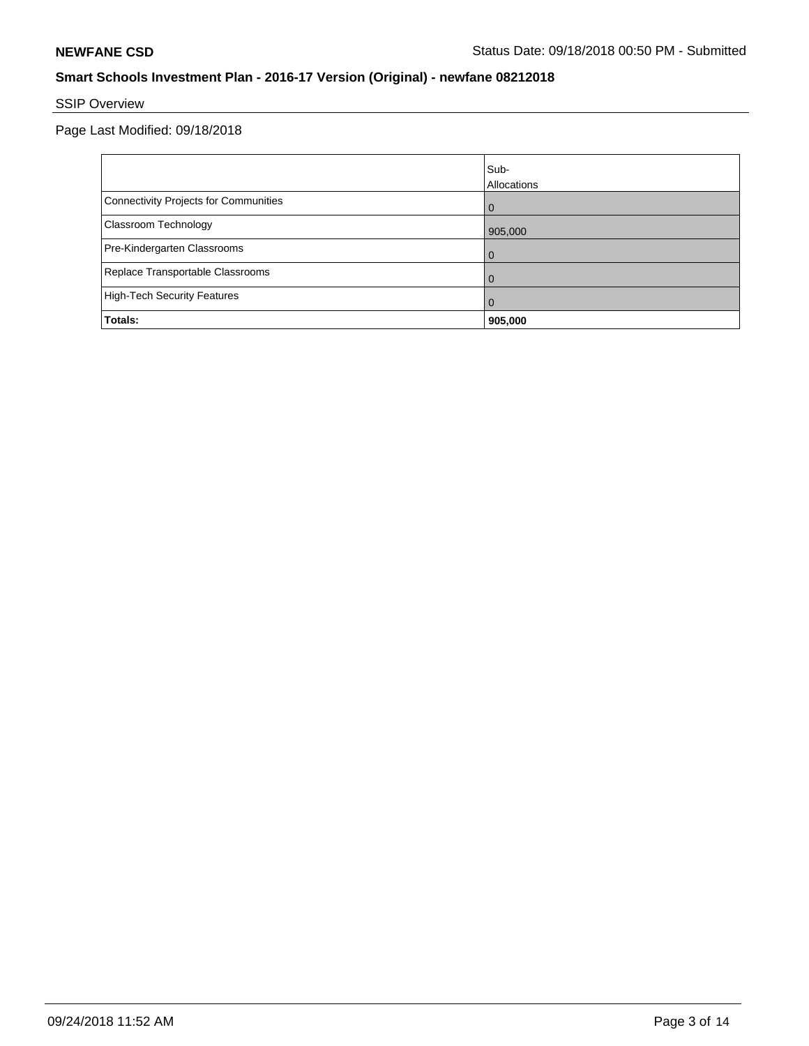# SSIP Overview

Page Last Modified: 09/18/2018

|                                       | Sub-<br>Allocations |
|---------------------------------------|---------------------|
| Connectivity Projects for Communities | $\Omega$            |
| <b>Classroom Technology</b>           | 905,000             |
| Pre-Kindergarten Classrooms           | $\Omega$            |
| Replace Transportable Classrooms      | 0                   |
| High-Tech Security Features           | $\Omega$            |
| Totals:                               | 905,000             |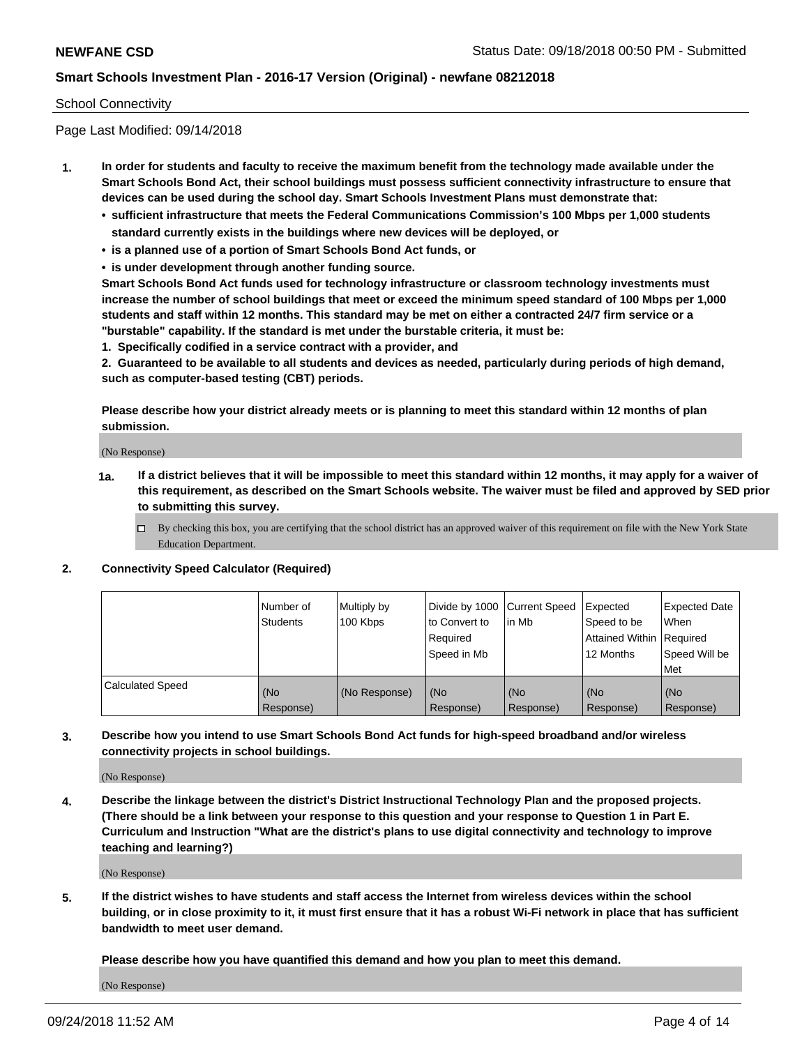#### School Connectivity

Page Last Modified: 09/14/2018

- **1. In order for students and faculty to receive the maximum benefit from the technology made available under the Smart Schools Bond Act, their school buildings must possess sufficient connectivity infrastructure to ensure that devices can be used during the school day. Smart Schools Investment Plans must demonstrate that:**
	- **• sufficient infrastructure that meets the Federal Communications Commission's 100 Mbps per 1,000 students standard currently exists in the buildings where new devices will be deployed, or**
	- **• is a planned use of a portion of Smart Schools Bond Act funds, or**
	- **• is under development through another funding source.**

**Smart Schools Bond Act funds used for technology infrastructure or classroom technology investments must increase the number of school buildings that meet or exceed the minimum speed standard of 100 Mbps per 1,000 students and staff within 12 months. This standard may be met on either a contracted 24/7 firm service or a "burstable" capability. If the standard is met under the burstable criteria, it must be:**

**1. Specifically codified in a service contract with a provider, and**

**2. Guaranteed to be available to all students and devices as needed, particularly during periods of high demand, such as computer-based testing (CBT) periods.**

**Please describe how your district already meets or is planning to meet this standard within 12 months of plan submission.**

(No Response)

- **1a. If a district believes that it will be impossible to meet this standard within 12 months, it may apply for a waiver of this requirement, as described on the Smart Schools website. The waiver must be filed and approved by SED prior to submitting this survey.**
	- By checking this box, you are certifying that the school district has an approved waiver of this requirement on file with the New York State Education Department.

#### **2. Connectivity Speed Calculator (Required)**

|                         | Number of<br>Students | Multiply by<br>100 Kbps | Divide by 1000 Current Speed<br>to Convert to<br>Required<br>Speed in Mb | lin Mb           | Expected<br>Speed to be<br>Attained Within   Required<br>12 Months | <b>Expected Date</b><br>When<br>Speed Will be<br>l Met |
|-------------------------|-----------------------|-------------------------|--------------------------------------------------------------------------|------------------|--------------------------------------------------------------------|--------------------------------------------------------|
| <b>Calculated Speed</b> | (No<br>Response)      | (No Response)           | (No<br>Response)                                                         | (No<br>Response) | l (No<br>Response)                                                 | (No<br>Response)                                       |

## **3. Describe how you intend to use Smart Schools Bond Act funds for high-speed broadband and/or wireless connectivity projects in school buildings.**

(No Response)

**4. Describe the linkage between the district's District Instructional Technology Plan and the proposed projects. (There should be a link between your response to this question and your response to Question 1 in Part E. Curriculum and Instruction "What are the district's plans to use digital connectivity and technology to improve teaching and learning?)**

(No Response)

**5. If the district wishes to have students and staff access the Internet from wireless devices within the school building, or in close proximity to it, it must first ensure that it has a robust Wi-Fi network in place that has sufficient bandwidth to meet user demand.**

**Please describe how you have quantified this demand and how you plan to meet this demand.**

(No Response)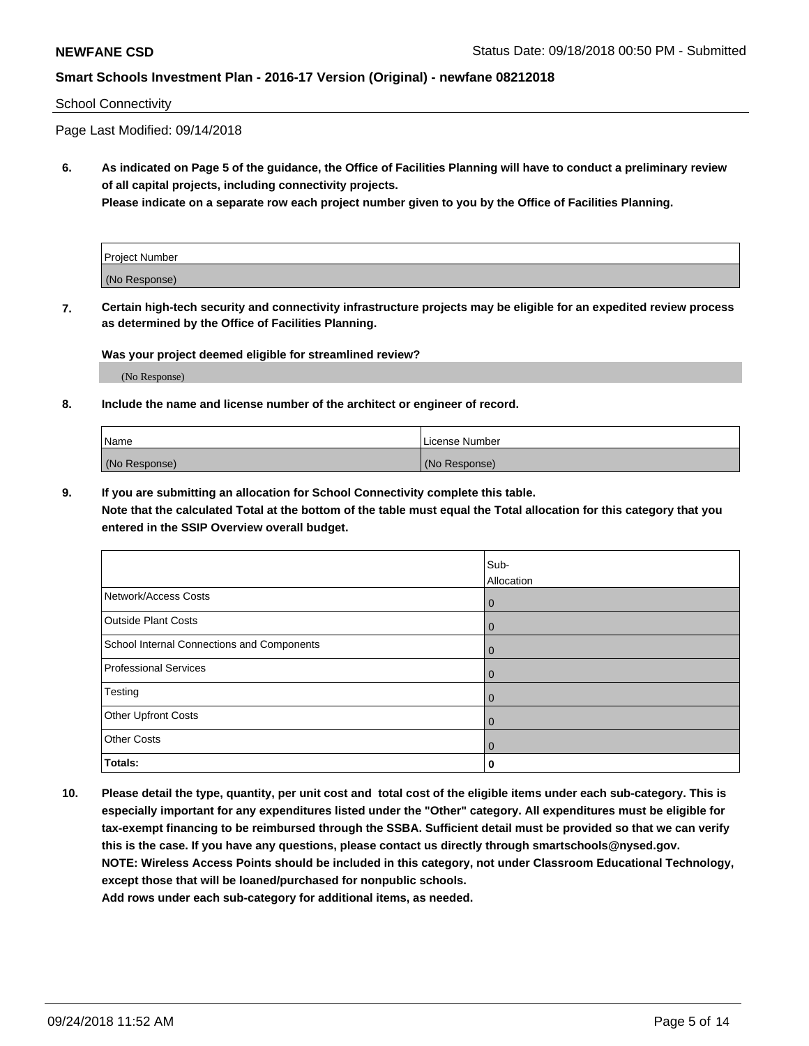#### School Connectivity

Page Last Modified: 09/14/2018

**6. As indicated on Page 5 of the guidance, the Office of Facilities Planning will have to conduct a preliminary review of all capital projects, including connectivity projects.**

**Please indicate on a separate row each project number given to you by the Office of Facilities Planning.**

| Project Number |  |
|----------------|--|
| (No Response)  |  |

**7. Certain high-tech security and connectivity infrastructure projects may be eligible for an expedited review process as determined by the Office of Facilities Planning.**

#### **Was your project deemed eligible for streamlined review?**

(No Response)

#### **8. Include the name and license number of the architect or engineer of record.**

| <b>Name</b>   | License Number |
|---------------|----------------|
| (No Response) | (No Response)  |

#### **9. If you are submitting an allocation for School Connectivity complete this table.**

**Note that the calculated Total at the bottom of the table must equal the Total allocation for this category that you entered in the SSIP Overview overall budget.** 

|                                            | Sub-<br>Allocation |
|--------------------------------------------|--------------------|
| Network/Access Costs                       | $\mathbf 0$        |
| <b>Outside Plant Costs</b>                 | $\mathbf 0$        |
| School Internal Connections and Components | $\overline{0}$     |
| <b>Professional Services</b>               | $\mathbf 0$        |
| Testing                                    | $\mathbf 0$        |
| Other Upfront Costs                        | $\mathbf 0$        |
| <b>Other Costs</b>                         | $\mathbf 0$        |
| Totals:                                    | 0                  |

**10. Please detail the type, quantity, per unit cost and total cost of the eligible items under each sub-category. This is especially important for any expenditures listed under the "Other" category. All expenditures must be eligible for tax-exempt financing to be reimbursed through the SSBA. Sufficient detail must be provided so that we can verify this is the case. If you have any questions, please contact us directly through smartschools@nysed.gov. NOTE: Wireless Access Points should be included in this category, not under Classroom Educational Technology, except those that will be loaned/purchased for nonpublic schools.**

**Add rows under each sub-category for additional items, as needed.**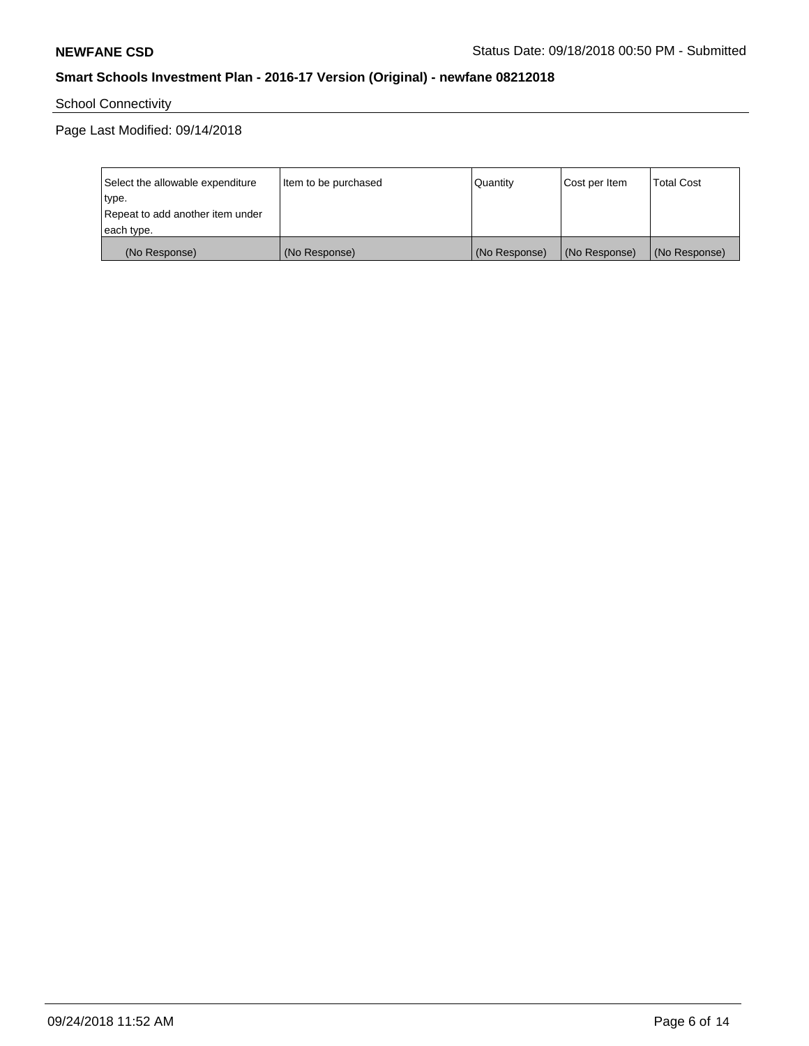School Connectivity

Page Last Modified: 09/14/2018

| Select the allowable expenditure | Item to be purchased | Quantity      | Cost per Item | <b>Total Cost</b> |
|----------------------------------|----------------------|---------------|---------------|-------------------|
| type.                            |                      |               |               |                   |
| Repeat to add another item under |                      |               |               |                   |
| each type.                       |                      |               |               |                   |
| (No Response)                    | (No Response)        | (No Response) | (No Response) | (No Response)     |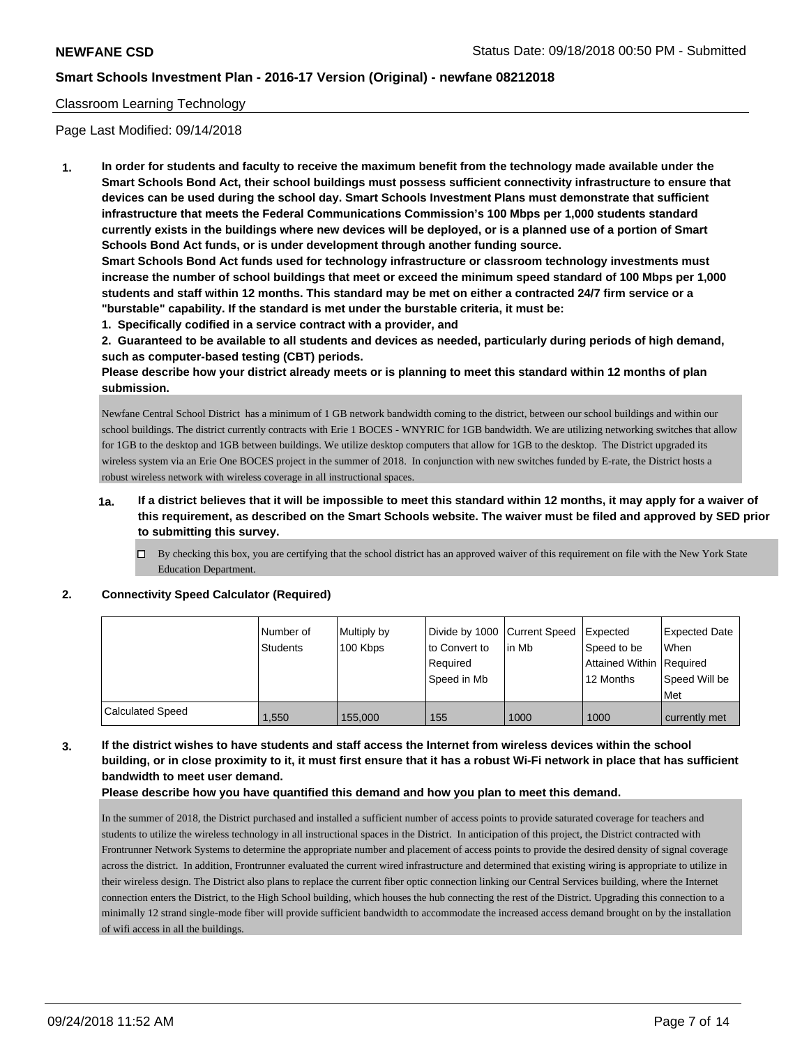## Classroom Learning Technology

Page Last Modified: 09/14/2018

**1. In order for students and faculty to receive the maximum benefit from the technology made available under the Smart Schools Bond Act, their school buildings must possess sufficient connectivity infrastructure to ensure that devices can be used during the school day. Smart Schools Investment Plans must demonstrate that sufficient infrastructure that meets the Federal Communications Commission's 100 Mbps per 1,000 students standard currently exists in the buildings where new devices will be deployed, or is a planned use of a portion of Smart Schools Bond Act funds, or is under development through another funding source.**

**Smart Schools Bond Act funds used for technology infrastructure or classroom technology investments must increase the number of school buildings that meet or exceed the minimum speed standard of 100 Mbps per 1,000 students and staff within 12 months. This standard may be met on either a contracted 24/7 firm service or a "burstable" capability. If the standard is met under the burstable criteria, it must be:**

**1. Specifically codified in a service contract with a provider, and**

**2. Guaranteed to be available to all students and devices as needed, particularly during periods of high demand, such as computer-based testing (CBT) periods.**

**Please describe how your district already meets or is planning to meet this standard within 12 months of plan submission.**

Newfane Central School District has a minimum of 1 GB network bandwidth coming to the district, between our school buildings and within our school buildings. The district currently contracts with Erie 1 BOCES - WNYRIC for 1GB bandwidth. We are utilizing networking switches that allow for 1GB to the desktop and 1GB between buildings. We utilize desktop computers that allow for 1GB to the desktop. The District upgraded its wireless system via an Erie One BOCES project in the summer of 2018. In conjunction with new switches funded by E-rate, the District hosts a robust wireless network with wireless coverage in all instructional spaces.

- **1a. If a district believes that it will be impossible to meet this standard within 12 months, it may apply for a waiver of this requirement, as described on the Smart Schools website. The waiver must be filed and approved by SED prior to submitting this survey.**
	- $\Box$  By checking this box, you are certifying that the school district has an approved waiver of this requirement on file with the New York State Education Department.

#### **2. Connectivity Speed Calculator (Required)**

|                         | I Number of<br><b>Students</b> | Multiply by<br>100 Kbps | to Convert to<br>Reauired<br>Speed in Mb | Divide by 1000 Current Speed Expected<br>l in Mb | Speed to be<br>Attained Within Required<br>12 Months | Expected Date<br>When<br>Speed Will be<br>Met |
|-------------------------|--------------------------------|-------------------------|------------------------------------------|--------------------------------------------------|------------------------------------------------------|-----------------------------------------------|
| <b>Calculated Speed</b> | 1.550                          | 155,000                 | 155                                      | 1000                                             | 1000                                                 | currently met                                 |

# **3. If the district wishes to have students and staff access the Internet from wireless devices within the school building, or in close proximity to it, it must first ensure that it has a robust Wi-Fi network in place that has sufficient bandwidth to meet user demand.**

#### **Please describe how you have quantified this demand and how you plan to meet this demand.**

In the summer of 2018, the District purchased and installed a sufficient number of access points to provide saturated coverage for teachers and students to utilize the wireless technology in all instructional spaces in the District. In anticipation of this project, the District contracted with Frontrunner Network Systems to determine the appropriate number and placement of access points to provide the desired density of signal coverage across the district. In addition, Frontrunner evaluated the current wired infrastructure and determined that existing wiring is appropriate to utilize in their wireless design. The District also plans to replace the current fiber optic connection linking our Central Services building, where the Internet connection enters the District, to the High School building, which houses the hub connecting the rest of the District. Upgrading this connection to a minimally 12 strand single-mode fiber will provide sufficient bandwidth to accommodate the increased access demand brought on by the installation of wifi access in all the buildings.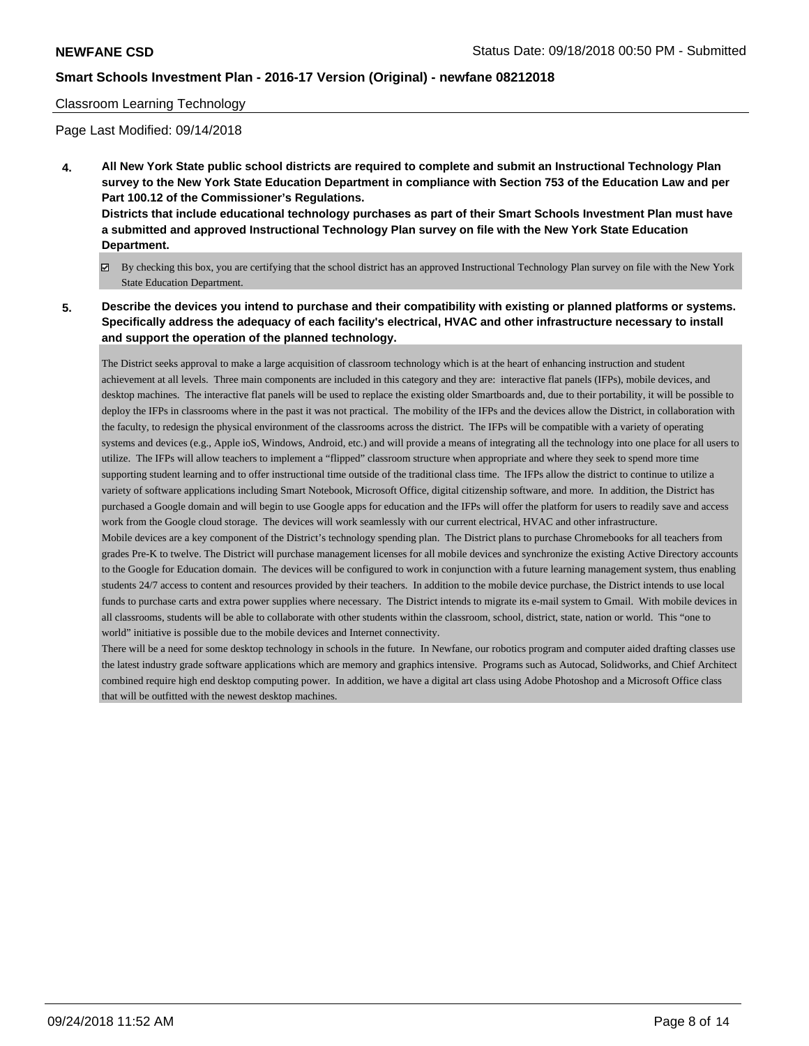world" initiative is possible due to the mobile devices and Internet connectivity.

#### Classroom Learning Technology

Page Last Modified: 09/14/2018

- **4. All New York State public school districts are required to complete and submit an Instructional Technology Plan survey to the New York State Education Department in compliance with Section 753 of the Education Law and per Part 100.12 of the Commissioner's Regulations. Districts that include educational technology purchases as part of their Smart Schools Investment Plan must have a submitted and approved Instructional Technology Plan survey on file with the New York State Education Department.**
	- By checking this box, you are certifying that the school district has an approved Instructional Technology Plan survey on file with the New York State Education Department.
- **5. Describe the devices you intend to purchase and their compatibility with existing or planned platforms or systems. Specifically address the adequacy of each facility's electrical, HVAC and other infrastructure necessary to install and support the operation of the planned technology.**

The District seeks approval to make a large acquisition of classroom technology which is at the heart of enhancing instruction and student achievement at all levels. Three main components are included in this category and they are: interactive flat panels (IFPs), mobile devices, and desktop machines. The interactive flat panels will be used to replace the existing older Smartboards and, due to their portability, it will be possible to deploy the IFPs in classrooms where in the past it was not practical. The mobility of the IFPs and the devices allow the District, in collaboration with the faculty, to redesign the physical environment of the classrooms across the district. The IFPs will be compatible with a variety of operating systems and devices (e.g., Apple ioS, Windows, Android, etc.) and will provide a means of integrating all the technology into one place for all users to utilize. The IFPs will allow teachers to implement a "flipped" classroom structure when appropriate and where they seek to spend more time supporting student learning and to offer instructional time outside of the traditional class time. The IFPs allow the district to continue to utilize a variety of software applications including Smart Notebook, Microsoft Office, digital citizenship software, and more. In addition, the District has purchased a Google domain and will begin to use Google apps for education and the IFPs will offer the platform for users to readily save and access work from the Google cloud storage. The devices will work seamlessly with our current electrical, HVAC and other infrastructure. Mobile devices are a key component of the District's technology spending plan. The District plans to purchase Chromebooks for all teachers from grades Pre-K to twelve. The District will purchase management licenses for all mobile devices and synchronize the existing Active Directory accounts to the Google for Education domain. The devices will be configured to work in conjunction with a future learning management system, thus enabling students 24/7 access to content and resources provided by their teachers. In addition to the mobile device purchase, the District intends to use local funds to purchase carts and extra power supplies where necessary. The District intends to migrate its e-mail system to Gmail. With mobile devices in all classrooms, students will be able to collaborate with other students within the classroom, school, district, state, nation or world. This "one to

There will be a need for some desktop technology in schools in the future. In Newfane, our robotics program and computer aided drafting classes use the latest industry grade software applications which are memory and graphics intensive. Programs such as Autocad, Solidworks, and Chief Architect combined require high end desktop computing power. In addition, we have a digital art class using Adobe Photoshop and a Microsoft Office class that will be outfitted with the newest desktop machines.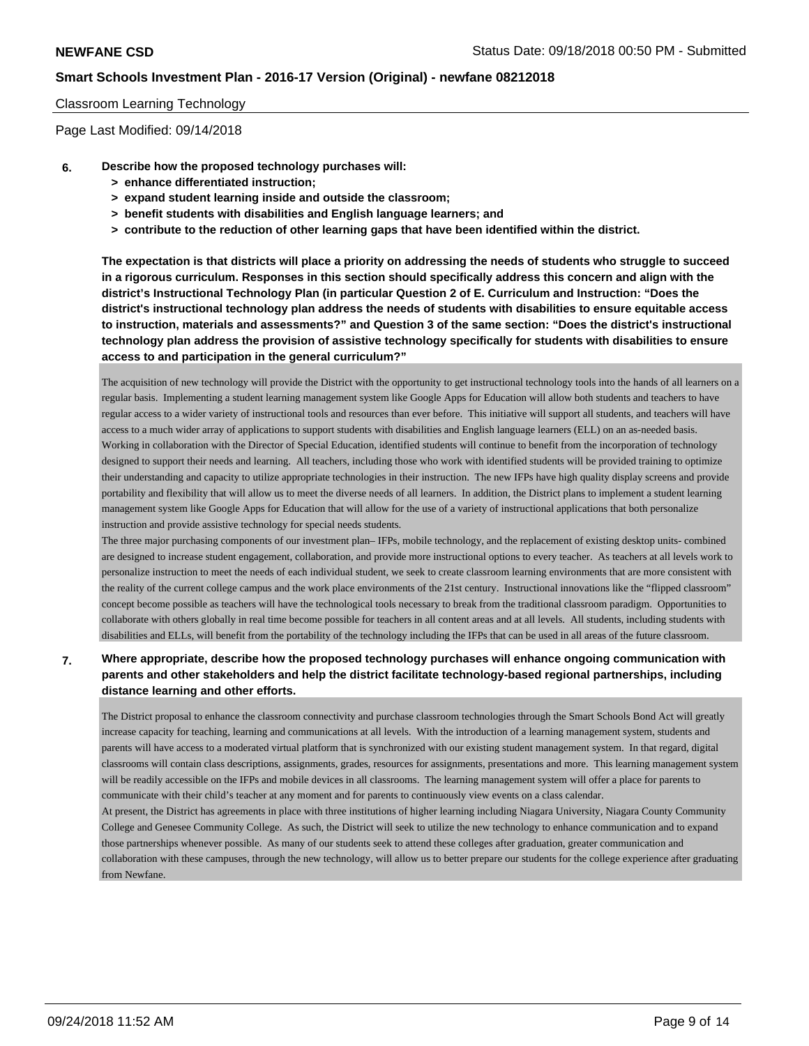### Classroom Learning Technology

Page Last Modified: 09/14/2018

- **6. Describe how the proposed technology purchases will:**
	- **> enhance differentiated instruction;**
	- **> expand student learning inside and outside the classroom;**
	- **> benefit students with disabilities and English language learners; and**
	- **> contribute to the reduction of other learning gaps that have been identified within the district.**

**The expectation is that districts will place a priority on addressing the needs of students who struggle to succeed in a rigorous curriculum. Responses in this section should specifically address this concern and align with the district's Instructional Technology Plan (in particular Question 2 of E. Curriculum and Instruction: "Does the district's instructional technology plan address the needs of students with disabilities to ensure equitable access to instruction, materials and assessments?" and Question 3 of the same section: "Does the district's instructional technology plan address the provision of assistive technology specifically for students with disabilities to ensure access to and participation in the general curriculum?"**

The acquisition of new technology will provide the District with the opportunity to get instructional technology tools into the hands of all learners on a regular basis. Implementing a student learning management system like Google Apps for Education will allow both students and teachers to have regular access to a wider variety of instructional tools and resources than ever before. This initiative will support all students, and teachers will have access to a much wider array of applications to support students with disabilities and English language learners (ELL) on an as-needed basis. Working in collaboration with the Director of Special Education, identified students will continue to benefit from the incorporation of technology designed to support their needs and learning. All teachers, including those who work with identified students will be provided training to optimize their understanding and capacity to utilize appropriate technologies in their instruction. The new IFPs have high quality display screens and provide portability and flexibility that will allow us to meet the diverse needs of all learners. In addition, the District plans to implement a student learning management system like Google Apps for Education that will allow for the use of a variety of instructional applications that both personalize instruction and provide assistive technology for special needs students.

The three major purchasing components of our investment plan– IFPs, mobile technology, and the replacement of existing desktop units- combined are designed to increase student engagement, collaboration, and provide more instructional options to every teacher. As teachers at all levels work to personalize instruction to meet the needs of each individual student, we seek to create classroom learning environments that are more consistent with the reality of the current college campus and the work place environments of the 21st century. Instructional innovations like the "flipped classroom" concept become possible as teachers will have the technological tools necessary to break from the traditional classroom paradigm. Opportunities to collaborate with others globally in real time become possible for teachers in all content areas and at all levels. All students, including students with disabilities and ELLs, will benefit from the portability of the technology including the IFPs that can be used in all areas of the future classroom.

# **7. Where appropriate, describe how the proposed technology purchases will enhance ongoing communication with parents and other stakeholders and help the district facilitate technology-based regional partnerships, including distance learning and other efforts.**

The District proposal to enhance the classroom connectivity and purchase classroom technologies through the Smart Schools Bond Act will greatly increase capacity for teaching, learning and communications at all levels. With the introduction of a learning management system, students and parents will have access to a moderated virtual platform that is synchronized with our existing student management system. In that regard, digital classrooms will contain class descriptions, assignments, grades, resources for assignments, presentations and more. This learning management system will be readily accessible on the IFPs and mobile devices in all classrooms. The learning management system will offer a place for parents to communicate with their child's teacher at any moment and for parents to continuously view events on a class calendar.

At present, the District has agreements in place with three institutions of higher learning including Niagara University, Niagara County Community College and Genesee Community College. As such, the District will seek to utilize the new technology to enhance communication and to expand those partnerships whenever possible. As many of our students seek to attend these colleges after graduation, greater communication and collaboration with these campuses, through the new technology, will allow us to better prepare our students for the college experience after graduating from Newfane.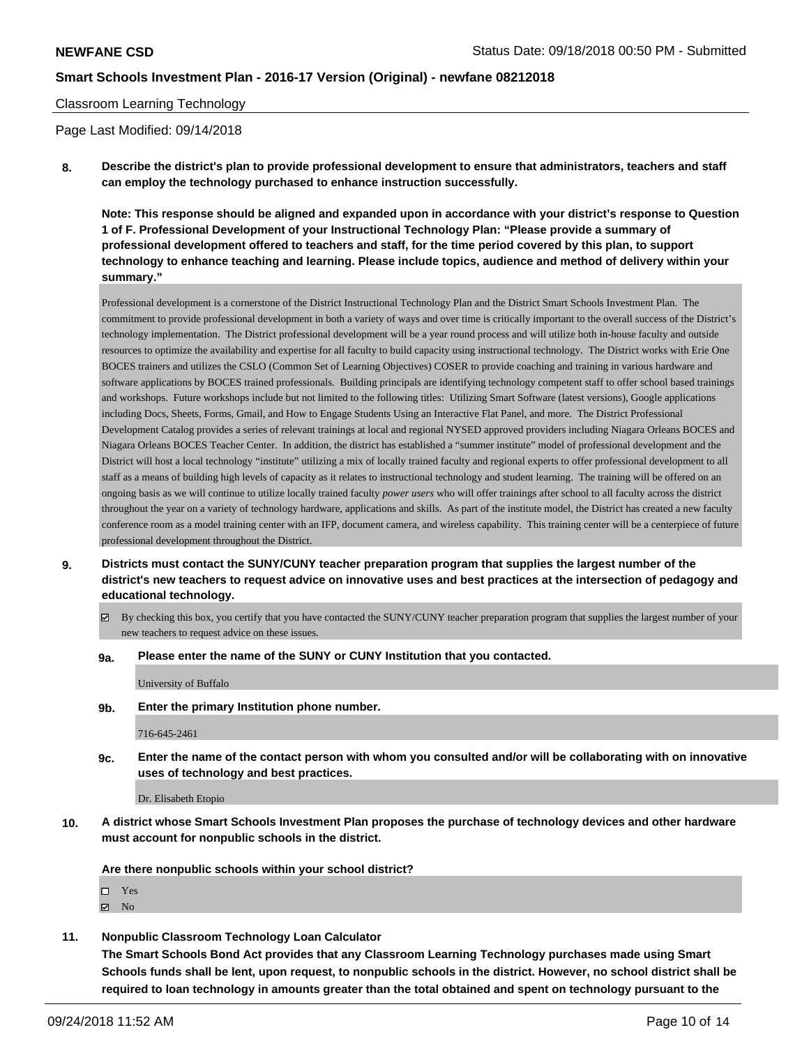#### Classroom Learning Technology

Page Last Modified: 09/14/2018

**8. Describe the district's plan to provide professional development to ensure that administrators, teachers and staff can employ the technology purchased to enhance instruction successfully.**

**Note: This response should be aligned and expanded upon in accordance with your district's response to Question 1 of F. Professional Development of your Instructional Technology Plan: "Please provide a summary of professional development offered to teachers and staff, for the time period covered by this plan, to support technology to enhance teaching and learning. Please include topics, audience and method of delivery within your summary."**

Professional development is a cornerstone of the District Instructional Technology Plan and the District Smart Schools Investment Plan. The commitment to provide professional development in both a variety of ways and over time is critically important to the overall success of the District's technology implementation. The District professional development will be a year round process and will utilize both in-house faculty and outside resources to optimize the availability and expertise for all faculty to build capacity using instructional technology. The District works with Erie One BOCES trainers and utilizes the CSLO (Common Set of Learning Objectives) COSER to provide coaching and training in various hardware and software applications by BOCES trained professionals. Building principals are identifying technology competent staff to offer school based trainings and workshops. Future workshops include but not limited to the following titles: Utilizing Smart Software (latest versions), Google applications including Docs, Sheets, Forms, Gmail, and How to Engage Students Using an Interactive Flat Panel, and more. The District Professional Development Catalog provides a series of relevant trainings at local and regional NYSED approved providers including Niagara Orleans BOCES and Niagara Orleans BOCES Teacher Center. In addition, the district has established a "summer institute" model of professional development and the District will host a local technology "institute" utilizing a mix of locally trained faculty and regional experts to offer professional development to all staff as a means of building high levels of capacity as it relates to instructional technology and student learning. The training will be offered on an ongoing basis as we will continue to utilize locally trained faculty *power users* who will offer trainings after school to all faculty across the district throughout the year on a variety of technology hardware, applications and skills. As part of the institute model, the District has created a new faculty conference room as a model training center with an IFP, document camera, and wireless capability. This training center will be a centerpiece of future professional development throughout the District.

- **9. Districts must contact the SUNY/CUNY teacher preparation program that supplies the largest number of the district's new teachers to request advice on innovative uses and best practices at the intersection of pedagogy and educational technology.**
	- By checking this box, you certify that you have contacted the SUNY/CUNY teacher preparation program that supplies the largest number of your new teachers to request advice on these issues.
	- **9a. Please enter the name of the SUNY or CUNY Institution that you contacted.**

University of Buffalo

**9b. Enter the primary Institution phone number.**

716-645-2461

**9c. Enter the name of the contact person with whom you consulted and/or will be collaborating with on innovative uses of technology and best practices.**

Dr. Elisabeth Etopio

**10. A district whose Smart Schools Investment Plan proposes the purchase of technology devices and other hardware must account for nonpublic schools in the district.**

**Are there nonpublic schools within your school district?**

□ Yes

 $\blacksquare$  No

**11. Nonpublic Classroom Technology Loan Calculator**

**The Smart Schools Bond Act provides that any Classroom Learning Technology purchases made using Smart Schools funds shall be lent, upon request, to nonpublic schools in the district. However, no school district shall be required to loan technology in amounts greater than the total obtained and spent on technology pursuant to the**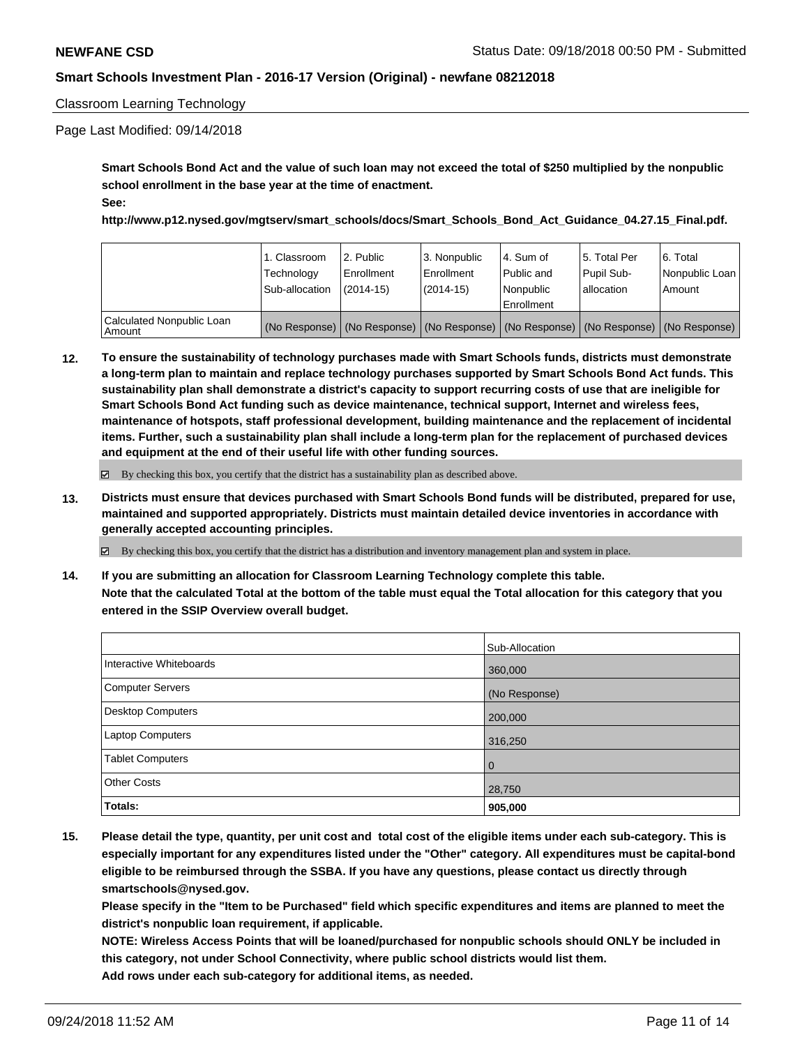## Classroom Learning Technology

## Page Last Modified: 09/14/2018

**Smart Schools Bond Act and the value of such loan may not exceed the total of \$250 multiplied by the nonpublic school enrollment in the base year at the time of enactment. See:**

**http://www.p12.nysed.gov/mgtserv/smart\_schools/docs/Smart\_Schools\_Bond\_Act\_Guidance\_04.27.15\_Final.pdf.**

|                                       | 1. Classroom<br>Technology<br>Sub-allocation | l 2. Public<br>l Enrollment<br>(2014-15) | l 3. Nonpublic<br>Enrollment<br>(2014-15) | l 4. Sum of<br>Public and<br>Nonpublic<br>Enrollment                                          | 15. Total Per<br>Pupil Sub-<br>l allocation | 6. Total<br>Nonpublic Loan<br>Amount |
|---------------------------------------|----------------------------------------------|------------------------------------------|-------------------------------------------|-----------------------------------------------------------------------------------------------|---------------------------------------------|--------------------------------------|
| Calculated Nonpublic Loan<br>l Amount |                                              |                                          |                                           | (No Response)   (No Response)   (No Response)   (No Response)   (No Response)   (No Response) |                                             |                                      |

**12. To ensure the sustainability of technology purchases made with Smart Schools funds, districts must demonstrate a long-term plan to maintain and replace technology purchases supported by Smart Schools Bond Act funds. This sustainability plan shall demonstrate a district's capacity to support recurring costs of use that are ineligible for Smart Schools Bond Act funding such as device maintenance, technical support, Internet and wireless fees, maintenance of hotspots, staff professional development, building maintenance and the replacement of incidental items. Further, such a sustainability plan shall include a long-term plan for the replacement of purchased devices and equipment at the end of their useful life with other funding sources.**

 $\boxtimes$  By checking this box, you certify that the district has a sustainability plan as described above.

**13. Districts must ensure that devices purchased with Smart Schools Bond funds will be distributed, prepared for use, maintained and supported appropriately. Districts must maintain detailed device inventories in accordance with generally accepted accounting principles.**

By checking this box, you certify that the district has a distribution and inventory management plan and system in place.

**14. If you are submitting an allocation for Classroom Learning Technology complete this table. Note that the calculated Total at the bottom of the table must equal the Total allocation for this category that you entered in the SSIP Overview overall budget.**

|                         | Sub-Allocation |
|-------------------------|----------------|
| Interactive Whiteboards | 360,000        |
| Computer Servers        | (No Response)  |
| Desktop Computers       | 200,000        |
| Laptop Computers        | 316,250        |
| <b>Tablet Computers</b> | $\overline{0}$ |
| <b>Other Costs</b>      | 28,750         |
| Totals:                 | 905,000        |

**15. Please detail the type, quantity, per unit cost and total cost of the eligible items under each sub-category. This is especially important for any expenditures listed under the "Other" category. All expenditures must be capital-bond eligible to be reimbursed through the SSBA. If you have any questions, please contact us directly through smartschools@nysed.gov.**

**Please specify in the "Item to be Purchased" field which specific expenditures and items are planned to meet the district's nonpublic loan requirement, if applicable.**

**NOTE: Wireless Access Points that will be loaned/purchased for nonpublic schools should ONLY be included in this category, not under School Connectivity, where public school districts would list them. Add rows under each sub-category for additional items, as needed.**

09/24/2018 11:52 AM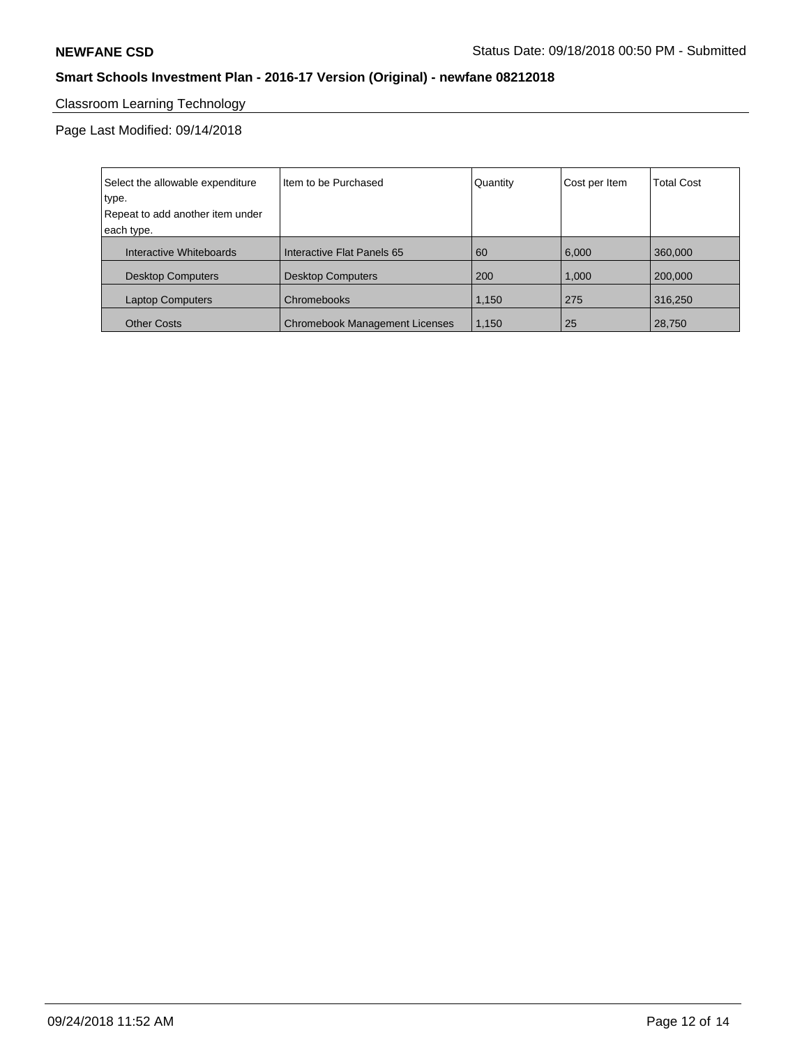# Classroom Learning Technology

Page Last Modified: 09/14/2018

| Select the allowable expenditure | Iltem to be Purchased                 | Quantity | Cost per Item | <b>Total Cost</b> |
|----------------------------------|---------------------------------------|----------|---------------|-------------------|
| type.                            |                                       |          |               |                   |
| Repeat to add another item under |                                       |          |               |                   |
| each type.                       |                                       |          |               |                   |
| Interactive Whiteboards          | Interactive Flat Panels 65            | 60       | 6,000         | 360,000           |
| <b>Desktop Computers</b>         | <b>Desktop Computers</b>              | 200      | 1,000         | 200,000           |
| <b>Laptop Computers</b>          | Chromebooks                           | 1.150    | 275           | 316,250           |
| <b>Other Costs</b>               | <b>Chromebook Management Licenses</b> | 1.150    | 25            | 28,750            |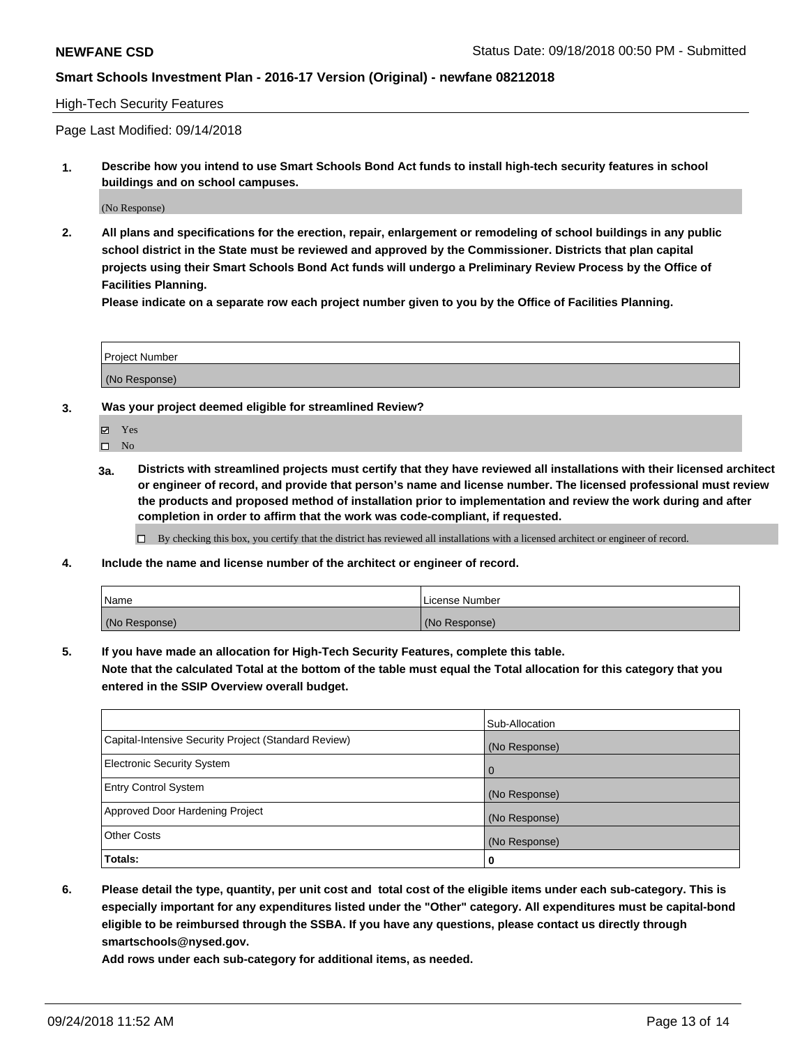## High-Tech Security Features

Page Last Modified: 09/14/2018

**1. Describe how you intend to use Smart Schools Bond Act funds to install high-tech security features in school buildings and on school campuses.**

(No Response)

**2. All plans and specifications for the erection, repair, enlargement or remodeling of school buildings in any public school district in the State must be reviewed and approved by the Commissioner. Districts that plan capital projects using their Smart Schools Bond Act funds will undergo a Preliminary Review Process by the Office of Facilities Planning.** 

**Please indicate on a separate row each project number given to you by the Office of Facilities Planning.**

| <b>Project Number</b> |  |
|-----------------------|--|
|                       |  |
| (No Response)         |  |

- **3. Was your project deemed eligible for streamlined Review?**
	- Yes
	- $\square$  No
	- **3a. Districts with streamlined projects must certify that they have reviewed all installations with their licensed architect or engineer of record, and provide that person's name and license number. The licensed professional must review the products and proposed method of installation prior to implementation and review the work during and after completion in order to affirm that the work was code-compliant, if requested.**
		- By checking this box, you certify that the district has reviewed all installations with a licensed architect or engineer of record.
- **4. Include the name and license number of the architect or engineer of record.**

| Name          | License Number |
|---------------|----------------|
| (No Response) | (No Response)  |

**5. If you have made an allocation for High-Tech Security Features, complete this table.**

**Note that the calculated Total at the bottom of the table must equal the Total allocation for this category that you entered in the SSIP Overview overall budget.**

|                                                      | Sub-Allocation |
|------------------------------------------------------|----------------|
| Capital-Intensive Security Project (Standard Review) | (No Response)  |
| <b>Electronic Security System</b>                    |                |
| <b>Entry Control System</b>                          | (No Response)  |
| Approved Door Hardening Project                      | (No Response)  |
| <b>Other Costs</b>                                   | (No Response)  |
| Totals:                                              | 0              |

**6. Please detail the type, quantity, per unit cost and total cost of the eligible items under each sub-category. This is especially important for any expenditures listed under the "Other" category. All expenditures must be capital-bond eligible to be reimbursed through the SSBA. If you have any questions, please contact us directly through smartschools@nysed.gov.**

**Add rows under each sub-category for additional items, as needed.**